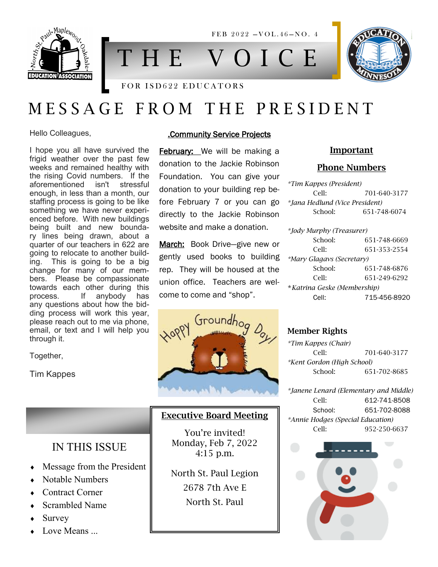

T H E V O I C E

 $FEB 2022 - VOL.46 - NO.4$ 



# M E S S A G E F R O M T H E P R E S I D E N T

Hello Colleagues,

I hope you all have survived the frigid weather over the past few weeks and remained healthy with the rising Covid numbers. If the aforementioned isn't stressful enough, in less than a month, our staffing process is going to be like something we have never experienced before. With new buildings being built and new boundary lines being drawn, about a quarter of our teachers in 622 are going to relocate to another building. This is going to be a big change for many of our members. Please be compassionate towards each other during this process. If anybody has any questions about how the bidding process will work this year, please reach out to me via phone, email, or text and I will help you through it.

Together,

Tim Kappes

#### .Community Service Projects

February: We will be making a donation to the Jackie Robinson Foundation. You can give your donation to your building rep before February 7 or you can go directly to the Jackie Robinson website and make a donation.

March: Book Drive-give new or gently used books to building rep. They will be housed at the union office. Teachers are welcome to come and "shop".



### Executive Board Meeting

You're invited! Monday, Feb 7, 2022 4:15 p.m.

North St. Paul Legion 2678 7th Ave E North St. Paul

### Important

### Phone Numbers

| *Tim Kappes (President)        |              |
|--------------------------------|--------------|
| Cell:                          | 701-640-3177 |
| *Jana Hedlund (Vice President) |              |
| School:                        | 651-748-6074 |
|                                |              |

*\*Jody Murphy (Treasurer)* School: 651-748-6669 Cell: 651-353-2554 *\*Mary Glagavs (Secretary)* School: 651-748-6876 Cell: 651-249-6292 \**Katrina Geske (Membership)* Cell: 715-456-8920

### Member Rights

| *Tim Kappes (Chair)        |              |
|----------------------------|--------------|
| Cell:                      | 701-640-3177 |
| *Kent Gordon (High School) |              |
| School:                    | 651-702-8685 |

*\*Janene Lenard (Elementary and Middle)* Cell: 612-741-8508 School: 651-702-8088 *\*Annie Hodges (Special Education)* Cell: 952-250-6637



### IN THIS ISSUE

- Message from the President
- Notable Numbers
- Contract Corner
- Scrambled Name
- Survey
- Love Means ...